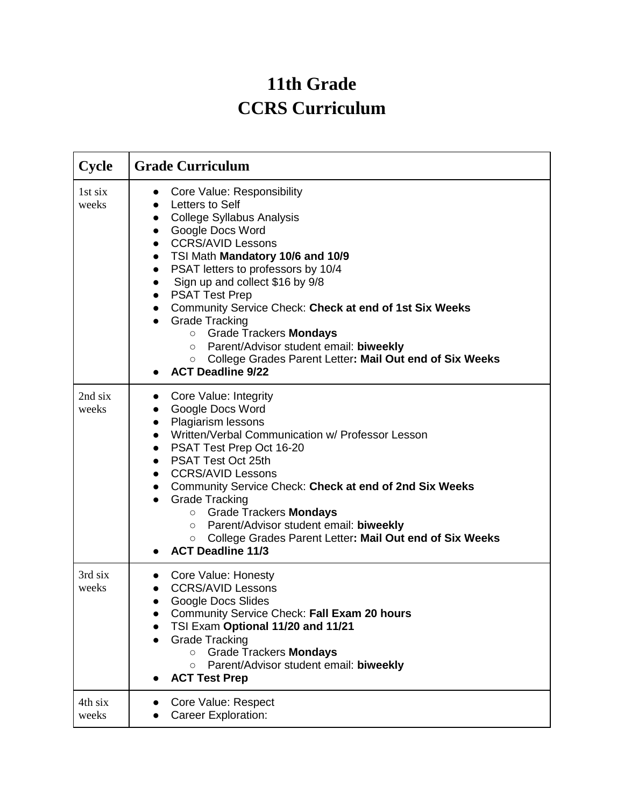## **11th Grade CCRS Curriculum**

| <b>Cycle</b>     | <b>Grade Curriculum</b>                                                                                                                                                                                                                                                                                                                                                                                                                                                                                                                                                                                                                                                 |
|------------------|-------------------------------------------------------------------------------------------------------------------------------------------------------------------------------------------------------------------------------------------------------------------------------------------------------------------------------------------------------------------------------------------------------------------------------------------------------------------------------------------------------------------------------------------------------------------------------------------------------------------------------------------------------------------------|
| 1st six<br>weeks | Core Value: Responsibility<br>$\bullet$<br>Letters to Self<br>$\bullet$<br><b>College Syllabus Analysis</b><br>$\bullet$<br>Google Docs Word<br>$\bullet$<br><b>CCRS/AVID Lessons</b><br>$\bullet$<br>TSI Math Mandatory 10/6 and 10/9<br>$\bullet$<br>PSAT letters to professors by 10/4<br>$\bullet$<br>Sign up and collect \$16 by 9/8<br><b>PSAT Test Prep</b><br>$\bullet$<br>Community Service Check: Check at end of 1st Six Weeks<br>$\bullet$<br><b>Grade Tracking</b><br><b>O</b> Grade Trackers <b>Mondays</b><br>Parent/Advisor student email: biweekly<br>$\circ$<br>○ College Grades Parent Letter: Mail Out end of Six Weeks<br><b>ACT Deadline 9/22</b> |
| 2nd six<br>weeks | Core Value: Integrity<br>$\bullet$<br>Google Docs Word<br>Plagiarism lessons<br>$\bullet$<br>Written/Verbal Communication w/ Professor Lesson<br>$\bullet$<br>PSAT Test Prep Oct 16-20<br>$\bullet$<br><b>PSAT Test Oct 25th</b><br>$\bullet$<br><b>CCRS/AVID Lessons</b><br>$\bullet$<br>Community Service Check: Check at end of 2nd Six Weeks<br>$\bullet$<br><b>Grade Tracking</b><br>$\bullet$<br>○ Grade Trackers Mondays<br>Parent/Advisor student email: biweekly<br>O<br>College Grades Parent Letter: Mail Out end of Six Weeks<br>$\circ$<br><b>ACT Deadline 11/3</b>                                                                                        |
| 3rd six<br>weeks | Core Value: Honesty<br><b>CCRS/AVID Lessons</b><br><b>Google Docs Slides</b><br>$\bullet$<br>Community Service Check: Fall Exam 20 hours<br>TSI Exam Optional 11/20 and 11/21<br><b>Grade Tracking</b><br>$\bullet$<br><b>Grade Trackers Mondays</b><br>$\circ$<br>Parent/Advisor student email: biweekly<br>$\circ$<br><b>ACT Test Prep</b>                                                                                                                                                                                                                                                                                                                            |
| 4th six<br>weeks | Core Value: Respect<br><b>Career Exploration:</b>                                                                                                                                                                                                                                                                                                                                                                                                                                                                                                                                                                                                                       |